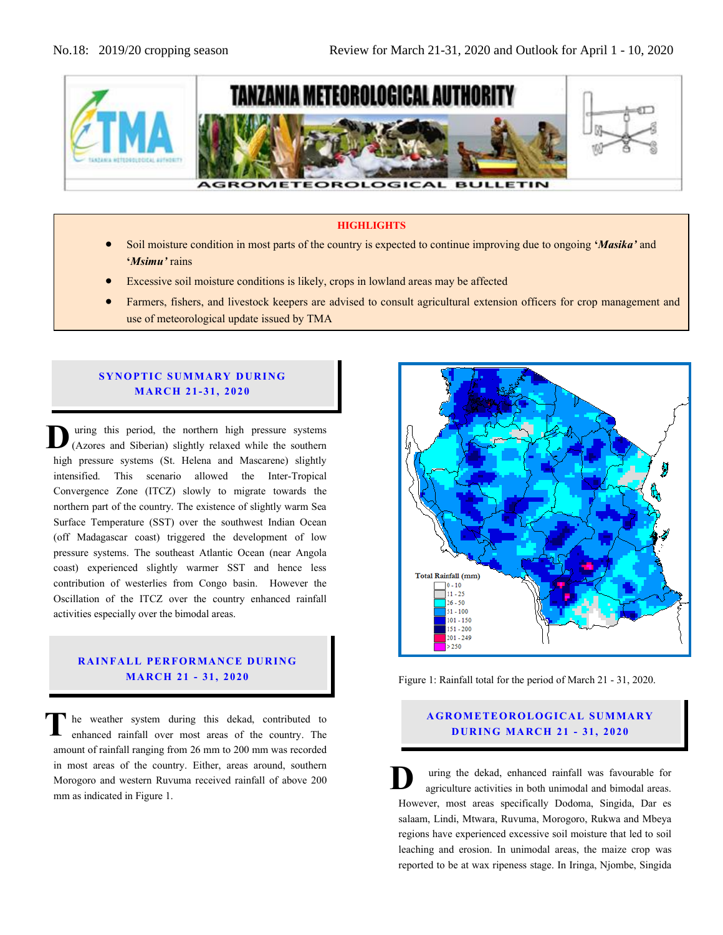

#### **HIGHLIGHTS**

- Soil moisture condition in most parts of the country is expected to continue improving due to ongoing **'***Masika'* and **'***Msimu'* rains
- Excessive soil moisture conditions is likely, crops in lowland areas may be affected
- Farmers, fishers, and livestock keepers are advised to consult agricultural extension officers for crop management and use of meteorological update issued by TMA

#### **SYNOPTIC SUMMARY DURING MA RC H 21- 31, 20 20**

uring this period, the northern high pressure systems (Azores and Siberian) slightly relaxed while the southern high pressure systems (St. Helena and Mascarene) slightly intensified. This scenario allowed the Inter-Tropical Convergence Zone (ITCZ) slowly to migrate towards the northern part of the country. The existence of slightly warm Sea Surface Temperature (SST) over the southwest Indian Ocean (off Madagascar coast) triggered the development of low Surface Temperature (SST) over the southwest Indian Ocean (off Madagascar coast) triggered the development of low pressure systems. The southeast Atlantic Ocean (near Angola coast) experienced slightly warmer SST and hence less contribution of westerlies from Congo basin. However the coast) experienced slightly warmer SST and hence less contribution of westerlies from Congo basin. However the Oscillation of the ITCZ over the country enhanced rainfall activities especially over the bimodal areas. **D**

## **RAINFALL PERFORMANCE DURING MA RC H 21 - 31, 20 20**

he weather system during this dekad, contributed to enhanced rainfall over most areas of the country. The amount of rainfall ranging from 26 mm to 200 mm was recorded in most areas of the country. Either, areas around, southern Morogoro and western Ruvuma received rainfall of above 200 mm as indicated in Figure 1. **T**



Figure 1: Rainfall total for the period of March 21 - 31, 2020.

## **AGROMETEOROLOGICAL SUMMARY D UR ING MA RC H 21 - 31, 2020**

uring the dekad, enhanced rainfall was favourable for agriculture activities in both unimodal and bimodal areas. However, most areas specifically Dodoma, Singida, Dar es salaam, Lindi, Mtwara, Ruvuma, Morogoro, Rukwa and Mbeya regions have experienced excessive soil moisture that led to soil leaching and erosion. In unimodal areas, the maize crop was reported to be at wax ripeness stage. In Iringa, Njombe, Singida **D**